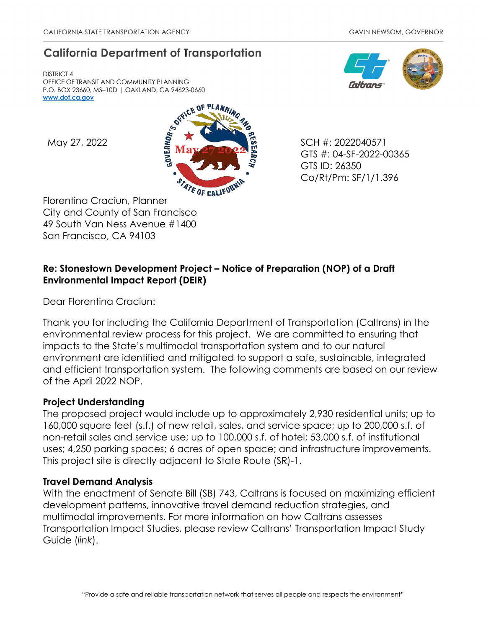# **California Department of Transportation**

DISTRICT 4 OFFICE OF TRANSIT AND COMMUNITY PLANNING P.O. BOX 23660, MS–10D | OAKLAND, CA 94623-0660 **[www.dot.ca.gov](http://www.dot.ca.gov/)**



Florentina Craciun, Planner City and County of San Francisco 49 South Van Ness Avenue #1400 San Francisco, CA 94103

GTS #: 04-SF-2022-00365 GTS ID: 26350 Co/Rt/Pm: SF/1/1.396

## **Re: Stonestown Development Project – Notice of Preparation (NOP) of a Draft Environmental Impact Report (DEIR)**

Dear Florentina Craciun:

Thank you for including the California Department of Transportation (Caltrans) in the environmental review process for this project. We are committed to ensuring that impacts to the State's multimodal transportation system and to our natural environment are identified and mitigated to support a safe, sustainable, integrated and efficient transportation system. The following comments are based on our review of the April 2022 NOP.

## **Project Understanding**

The proposed project would include up to approximately 2,930 residential units; up to 160,000 square feet (s.f.) of new retail, sales, and service space; up to 200,000 s.f. of non-retail sales and service use; up to 100,000 s.f. of hotel; 53,000 s.f. of institutional uses; 4,250 parking spaces; 6 acres of open space; and infrastructure improvements. This project site is directly adjacent to State Route (SR)-1.

## **Travel Demand Analysis**

With the enactment of Senate Bill (SB) 743, Caltrans is focused on maximizing efficient development patterns, innovative travel demand reduction strategies, and multimodal improvements. For more information on how Caltrans assesses Transportation Impact Studies, please review Caltrans' [Transportation Impact Study](https://dot.ca.gov/-/media/dot-media/programs/transportation-planning/documents/sb-743/2020-05-20-approved-vmt-focused-tisg-a11y.pdf)  [Guide \(](https://dot.ca.gov/-/media/dot-media/programs/transportation-planning/documents/sb-743/2020-05-20-approved-vmt-focused-tisg-a11y.pdf)*[link](https://dot.ca.gov/-/media/dot-media/programs/transportation-planning/documents/sb-743/2020-05-20-approved-vmt-focused-tisg-a11y.pdf)*[\).](https://dot.ca.gov/-/media/dot-media/programs/transportation-planning/documents/sb-743/2020-05-20-approved-vmt-focused-tisg-a11y.pdf)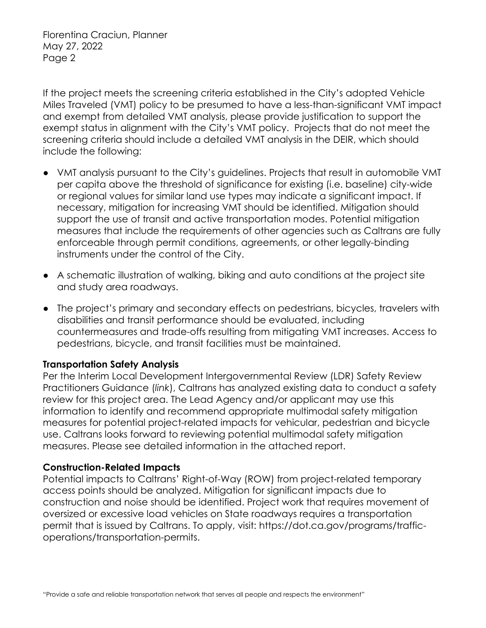Florentina Craciun, Planner May 27, 2022 Page 2

If the project meets the screening criteria established in the City's adopted Vehicle Miles Traveled (VMT) policy to be presumed to have a less-than-significant VMT impact and exempt from detailed VMT analysis, please provide justification to support the exempt status in alignment with the City's VMT policy. Projects that do not meet the screening criteria should include a detailed VMT analysis in the DEIR, which should include the following:

- VMT analysis pursuant to the City's guidelines. Projects that result in automobile VMT per capita above the threshold of significance for existing (i.e. baseline) city-wide or regional values for similar land use types may indicate a significant impact. If necessary, mitigation for increasing VMT should be identified. Mitigation should support the use of transit and active transportation modes. Potential mitigation measures that include the requirements of other agencies such as Caltrans are fully enforceable through permit conditions, agreements, or other legally-binding instruments under the control of the City.
- A schematic illustration of walking, biking and auto conditions at the project site and study area roadways.
- The project's primary and secondary effects on pedestrians, bicycles, travelers with disabilities and transit performance should be evaluated, including countermeasures and trade-offs resulting from mitigating VMT increases. Access to pedestrians, bicycle, and transit facilities must be maintained.

## **Transportation Safety Analysis**

Per the Interim Local Development Intergovernmental Review (LDR) Safety Review Practitioners Guidance (*[link](https://dot.ca.gov/-/media/dot-media/programs/transportation-planning/documents/sb-743/2020-12-22-updated-interim-ldigr-safety-review-guidance-a11y.pdf)*), Caltrans has analyzed existing data to conduct a safety review for this project area. The Lead Agency and/or applicant may use this information to identify and recommend appropriate multimodal safety mitigation measures for potential project-related impacts for vehicular, pedestrian and bicycle use. Caltrans looks forward to reviewing potential multimodal safety mitigation measures. Please see detailed information in the attached report.

#### **Construction-Related Impacts**

Potential impacts to Caltrans' Right-of-Way (ROW) from project-related temporary access points should be analyzed. Mitigation for significant impacts due to construction and noise should be identified. Project work that requires movement of oversized or excessive load vehicles on State roadways requires a transportation permit that is issued by Caltrans. To apply, visit: https://dot.ca.gov/programs/trafficoperations/transportation-permits.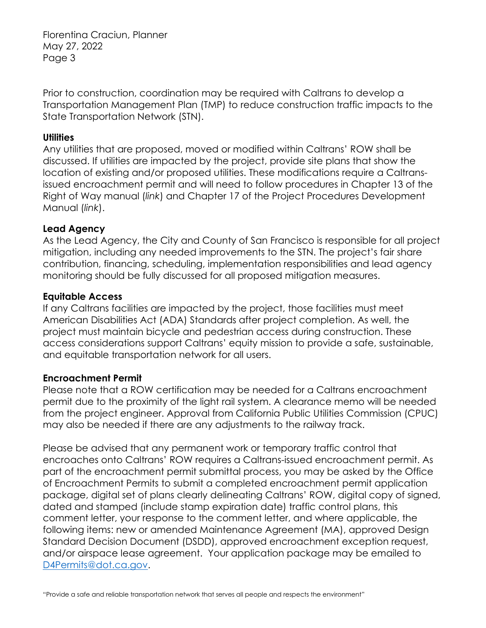Florentina Craciun, Planner May 27, 2022 Page 3

Prior to construction, coordination may be required with Caltrans to develop a Transportation Management Plan (TMP) to reduce construction traffic impacts to the State Transportation Network (STN).

#### **Utilities**

Any utilities that are proposed, moved or modified within Caltrans' ROW shall be discussed. If utilities are impacted by the project, provide site plans that show the location of existing and/or proposed utilities. These modifications require a Caltransissued encroachment permit and will need to follow procedures in Chapter 13 of the Right of Way manual (*[link](https://dot.ca.gov/programs/right-of-way/right-of-way-manual)*) and Chapter 17 of the Project Procedures Development Manual (*[link](https://dot.ca.gov/programs/design/manual-project-development-procedures-manual-pdpm)*).

## **Lead Agency**

As the Lead Agency, the City and County of San Francisco is responsible for all project mitigation, including any needed improvements to the STN. The project's fair share contribution, financing, scheduling, implementation responsibilities and lead agency monitoring should be fully discussed for all proposed mitigation measures.

### **Equitable Access**

If any Caltrans facilities are impacted by the project, those facilities must meet American Disabilities Act (ADA) Standards after project completion. As well, the project must maintain bicycle and pedestrian access during construction. These access considerations support Caltrans' equity mission to provide a safe, sustainable, and equitable transportation network for all users.

## **Encroachment Permit**

Please note that a ROW certification may be needed for a Caltrans encroachment permit due to the proximity of the light rail system. A clearance memo will be needed from the project engineer. Approval from California Public Utilities Commission (CPUC) may also be needed if there are any adjustments to the railway track.

Please be advised that any permanent work or temporary traffic control that encroaches onto Caltrans' ROW requires a Caltrans-issued encroachment permit. As part of the encroachment permit submittal process, you may be asked by the Office of Encroachment Permits to submit a completed encroachment permit application package, digital set of plans clearly delineating Caltrans' ROW, digital copy of signed, dated and stamped (include stamp expiration date) traffic control plans, this comment letter, your response to the comment letter, and where applicable, the following items: new or amended Maintenance Agreement (MA), approved Design Standard Decision Document (DSDD), approved encroachment exception request, and/or airspace lease agreement. Your application package may be emailed to [D4Permits@dot.ca.gov.](mailto:D4Permits@dot.ca.gov)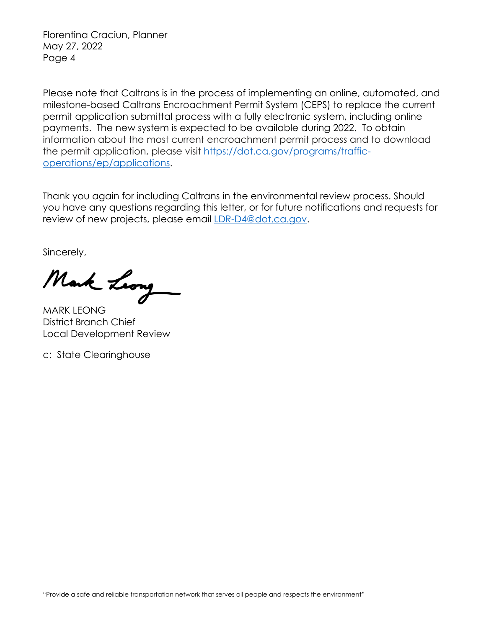Florentina Craciun, Planner May 27, 2022 Page 4

Please note that Caltrans is in the process of implementing an online, automated, and milestone-based Caltrans Encroachment Permit System (CEPS) to replace the current permit application submittal process with a fully electronic system, including online payments. The new system is expected to be available during 2022. To obtain information about the most current encroachment permit process and to download the permit application, please visit [https://dot.ca.gov/programs/traffic](https://dot.ca.gov/programs/traffic-operations/ep/applications)[operations/ep/applications.](https://dot.ca.gov/programs/traffic-operations/ep/applications)

Thank you again for including Caltrans in the environmental review process. Should you have any questions regarding this letter, or for future notifications and requests for review of new projects, please email [LDR-D4@dot.ca.gov.](mailto:LDR-D4@dot.ca.gov)

Sincerely,

Mark Leong

MARK LEONG District Branch Chief Local Development Review

c: State Clearinghouse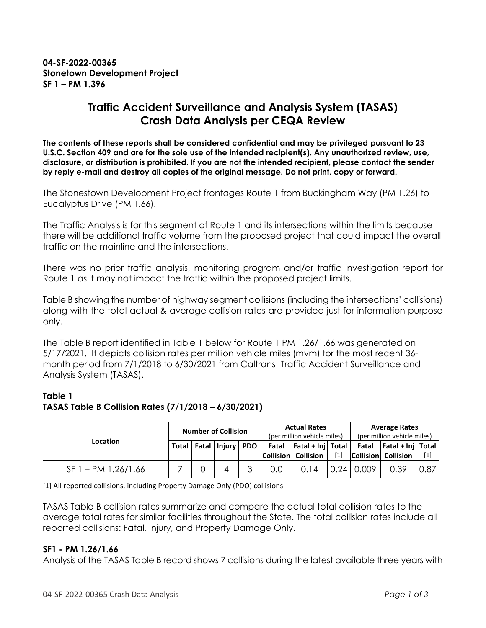## **Traffic Accident Surveillance and Analysis System (TASAS) Crash Data Analysis per CEQA Review**

**The contents of these reports shall be considered confidential and may be privileged pursuant to 23 U.S.C. Section 409 and are for the sole use of the intended recipient(s). Any unauthorized review, use, disclosure, or distribution is prohibited. If you are not the intended recipient, please contact the sender by reply e-mail and destroy all copies of the original message. Do not print, copy or forward.**

The Stonestown Development Project frontages Route 1 from Buckingham Way (PM 1.26) to Eucalyptus Drive (PM 1.66).

The Traffic Analysis is for this segment of Route 1 and its intersections within the limits because there will be additional traffic volume from the proposed project that could impact the overall traffic on the mainline and the intersections.

There was no prior traffic analysis, monitoring program and/or traffic investigation report for Route 1 as it may not impact the traffic within the proposed project limits.

Table B showing the number of highway segment collisions (including the intersections' collisions) along with the total actual & average collision rates are provided just for information purpose only.

The Table B report identified in Table 1 below for Route 1 PM 1.26/1.66 was generated on 5/17/2021. It depicts collision rates per million vehicle miles (mvm) for the most recent 36 month period from 7/1/2018 to 6/30/2021 from Caltrans' Traffic Accident Surveillance and Analysis System (TASAS).

### **Table 1 TASAS Table B Collision Rates (7/1/2018 – 6/30/2021)**

| <b>Location</b>       | <b>Number of Collision</b> |   |                              |  | <b>Actual Rates</b><br>(per million vehicle miles) |                                                               |       | <b>Average Rates</b><br>(per million vehicle miles) |                                                    |       |
|-----------------------|----------------------------|---|------------------------------|--|----------------------------------------------------|---------------------------------------------------------------|-------|-----------------------------------------------------|----------------------------------------------------|-------|
|                       |                            |   | Total   Fatal   Injury   PDO |  |                                                    | Fatal $ $ Fatal + Inj   Total  <br><b>Collision Collision</b> | $[1]$ |                                                     | Fatal $ $ Fatal + Inj Total<br>Collision Collision | $[1]$ |
| $SF 1 - PM 1.26/1.66$ |                            | 0 | 4                            |  | 0.0                                                | 0.14                                                          |       | $0.24$ 0.009                                        | 0.39                                               | 0.87  |

[1] All reported collisions, including Property Damage Only (PDO) collisions

TASAS Table B collision rates summarize and compare the actual total collision rates to the average total rates for similar facilities throughout the State. The total collision rates include all reported collisions: Fatal, Injury, and Property Damage Only.

#### **SF1 - PM 1.26/1.66**

Analysis of the TASAS Table B record shows 7 collisions during the latest available three years with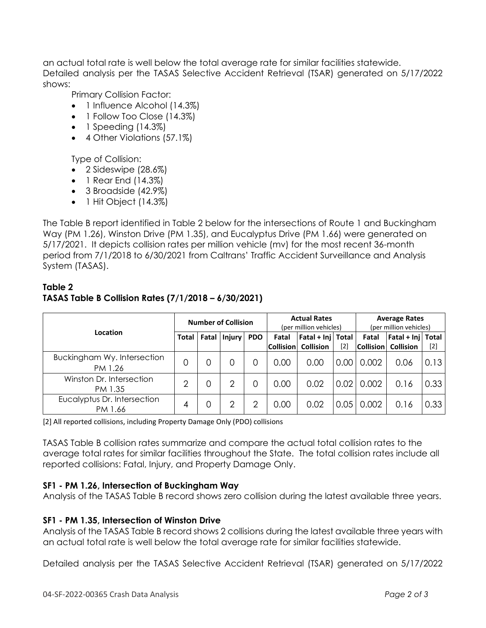an actual total rate is well below the total average rate for similar facilities statewide. Detailed analysis per the TASAS Selective Accident Retrieval (TSAR) generated on 5/17/2022 shows:

Primary Collision Factor:

- 1 Influence Alcohol (14.3%)
- 1 Follow Too Close (14.3%)
- $\bullet$  1 Speeding (14.3%)
- 4 Other Violations (57.1%)

Type of Collision:

- 2 Sideswipe (28.6%)
- 1 Rear End (14.3%)
- 3 Broadside (42.9%)
- $\bullet$  1 Hit Object (14.3%)

The Table B report identified in Table 2 below for the intersections of Route 1 and Buckingham Way (PM 1.26), Winston Drive (PM 1.35), and Eucalyptus Drive (PM 1.66) were generated on 5/17/2021. It depicts collision rates per million vehicle (mv) for the most recent 36-month period from 7/1/2018 to 6/30/2021 from Caltrans' Traffic Accident Surveillance and Analysis System (TASAS).

## **Table 2 TASAS Table B Collision Rates (7/1/2018 – 6/30/2021)**

| Location                               | <b>Number of Collision</b> |       |               |            | <b>Actual Rates</b><br>(per million vehicles) |                                         |      | <b>Average Rates</b><br>(per million vehicles) |                                       |       |
|----------------------------------------|----------------------------|-------|---------------|------------|-----------------------------------------------|-----------------------------------------|------|------------------------------------------------|---------------------------------------|-------|
|                                        | Total                      | Fatal | <b>Injury</b> | <b>PDO</b> | Fatal<br> Collision                           | Fatal + Inj   Total<br><b>Collision</b> | [2]  | Fatal<br>$ $ Collision $ $                     | Fatal + Inj Total<br><b>Collision</b> | $[2]$ |
| Buckingham Wy. Intersection<br>PM 1.26 | 0                          |       |               | O          | 0.00                                          | 0.00                                    | 0.00 | 0.002                                          | 0.06                                  | 0.13  |
| Winston Dr. Intersection<br>PM 1.35    | っ                          |       | 2             | O          | 0.00                                          | 0.02                                    | 0.02 | 0.002                                          | 0.16                                  | 0.33  |
| Eucalyptus Dr. Intersection<br>PM 1.66 | 4                          |       | 2             | റ          | 0.00                                          | 0.02                                    | 0.05 | 0.002                                          | 0.16                                  | 0.33  |

[2] All reported collisions, including Property Damage Only (PDO) collisions

TASAS Table B collision rates summarize and compare the actual total collision rates to the average total rates for similar facilities throughout the State. The total collision rates include all reported collisions: Fatal, Injury, and Property Damage Only.

#### **SF1 - PM 1.26, Intersection of Buckingham Way**

Analysis of the TASAS Table B record shows zero collision during the latest available three years.

#### **SF1 - PM 1.35, Intersection of Winston Drive**

Analysis of the TASAS Table B record shows 2 collisions during the latest available three years with an actual total rate is well below the total average rate for similar facilities statewide.

Detailed analysis per the TASAS Selective Accident Retrieval (TSAR) generated on 5/17/2022